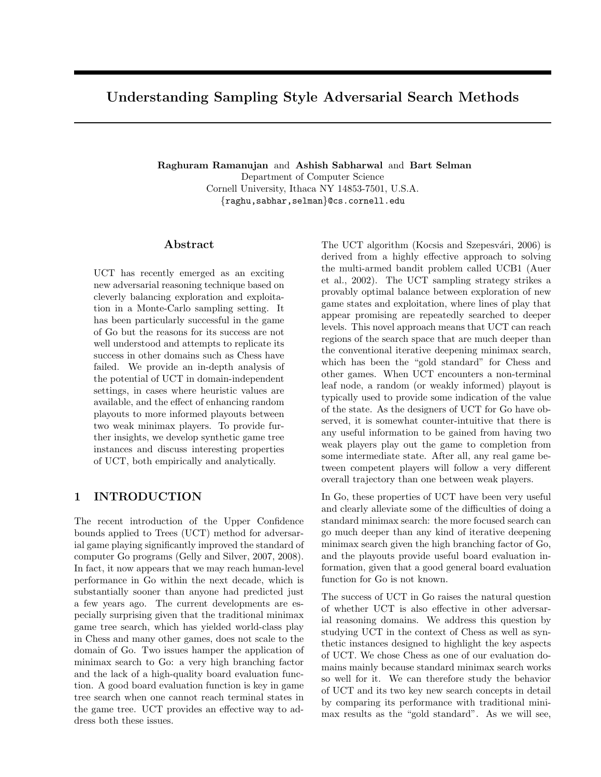# Understanding Sampling Style Adversarial Search Methods

Raghuram Ramanujan and Ashish Sabharwal and Bart Selman Department of Computer Science Cornell University, Ithaca NY 14853-7501, U.S.A. {raghu,sabhar,selman}@cs.cornell.edu

### Abstract

UCT has recently emerged as an exciting new adversarial reasoning technique based on cleverly balancing exploration and exploitation in a Monte-Carlo sampling setting. It has been particularly successful in the game of Go but the reasons for its success are not well understood and attempts to replicate its success in other domains such as Chess have failed. We provide an in-depth analysis of the potential of UCT in domain-independent settings, in cases where heuristic values are available, and the effect of enhancing random playouts to more informed playouts between two weak minimax players. To provide further insights, we develop synthetic game tree instances and discuss interesting properties of UCT, both empirically and analytically.

### 1 INTRODUCTION

The recent introduction of the Upper Confidence bounds applied to Trees (UCT) method for adversarial game playing significantly improved the standard of computer Go programs [\(Gelly and Silver,](#page-9-0) [2007,](#page-9-0) [2008\)](#page-9-1). In fact, it now appears that we may reach human-level performance in Go within the next decade, which is substantially sooner than anyone had predicted just a few years ago. The current developments are especially surprising given that the traditional minimax game tree search, which has yielded world-class play in Chess and many other games, does not scale to the domain of Go. Two issues hamper the application of minimax search to Go: a very high branching factor and the lack of a high-quality board evaluation function. A good board evaluation function is key in game tree search when one cannot reach terminal states in the game tree. UCT provides an effective way to address both these issues.

The UCT algorithm (Kocsis and Szepesvári, [2006\)](#page-9-2) is derived from a highly effective approach to solving the multi-armed bandit problem called UCB1 [\(Auer](#page-9-3) [et al.,](#page-9-3) [2002\)](#page-9-3). The UCT sampling strategy strikes a provably optimal balance between exploration of new game states and exploitation, where lines of play that appear promising are repeatedly searched to deeper levels. This novel approach means that UCT can reach regions of the search space that are much deeper than the conventional iterative deepening minimax search, which has been the "gold standard" for Chess and other games. When UCT encounters a non-terminal leaf node, a random (or weakly informed) playout is typically used to provide some indication of the value of the state. As the designers of UCT for Go have observed, it is somewhat counter-intuitive that there is any useful information to be gained from having two weak players play out the game to completion from some intermediate state. After all, any real game between competent players will follow a very different overall trajectory than one between weak players.

In Go, these properties of UCT have been very useful and clearly alleviate some of the difficulties of doing a standard minimax search: the more focused search can go much deeper than any kind of iterative deepening minimax search given the high branching factor of Go, and the playouts provide useful board evaluation information, given that a good general board evaluation function for Go is not known.

The success of UCT in Go raises the natural question of whether UCT is also effective in other adversarial reasoning domains. We address this question by studying UCT in the context of Chess as well as synthetic instances designed to highlight the key aspects of UCT. We chose Chess as one of our evaluation domains mainly because standard minimax search works so well for it. We can therefore study the behavior of UCT and its two key new search concepts in detail by comparing its performance with traditional minimax results as the "gold standard". As we will see,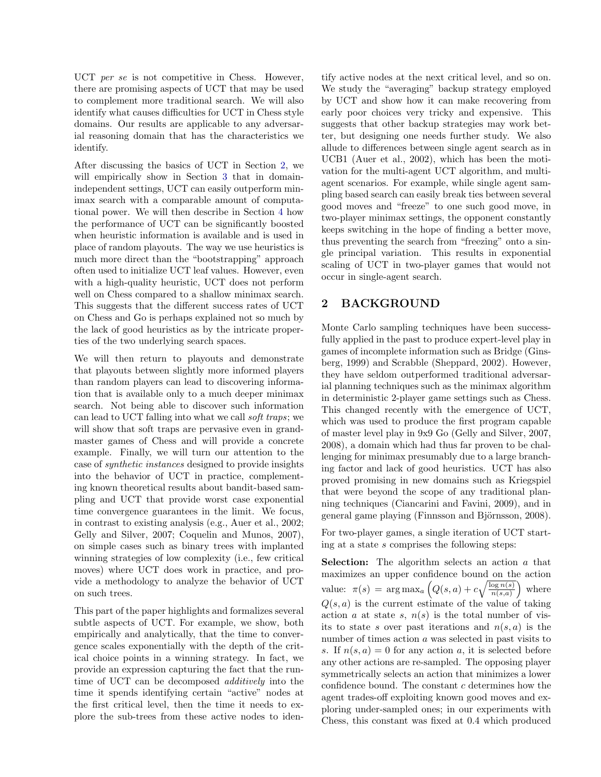UCT *per se* is not competitive in Chess. However, there are promising aspects of UCT that may be used to complement more traditional search. We will also identify what causes difficulties for UCT in Chess style domains. Our results are applicable to any adversarial reasoning domain that has the characteristics we identify.

After discussing the basics of UCT in Section [2,](#page-1-0) we will empirically show in Section [3](#page-2-0) that in domainindependent settings, UCT can easily outperform minimax search with a comparable amount of computational power. We will then describe in Section [4](#page-2-1) how the performance of UCT can be significantly boosted when heuristic information is available and is used in place of random playouts. The way we use heuristics is much more direct than the "bootstrapping" approach often used to initialize UCT leaf values. However, even with a high-quality heuristic, UCT does not perform well on Chess compared to a shallow minimax search. This suggests that the different success rates of UCT on Chess and Go is perhaps explained not so much by the lack of good heuristics as by the intricate properties of the two underlying search spaces.

We will then return to playouts and demonstrate that playouts between slightly more informed players than random players can lead to discovering information that is available only to a much deeper minimax search. Not being able to discover such information can lead to UCT falling into what we call soft traps; we will show that soft traps are pervasive even in grandmaster games of Chess and will provide a concrete example. Finally, we will turn our attention to the case of synthetic instances designed to provide insights into the behavior of UCT in practice, complementing known theoretical results about bandit-based sampling and UCT that provide worst case exponential time convergence guarantees in the limit. We focus, in contrast to existing analysis (e.g., [Auer et al.,](#page-9-3) [2002;](#page-9-3) [Gelly and Silver,](#page-9-0) [2007;](#page-9-0) [Coquelin and Munos,](#page-9-4) [2007\)](#page-9-4), on simple cases such as binary trees with implanted winning strategies of low complexity (i.e., few critical moves) where UCT does work in practice, and provide a methodology to analyze the behavior of UCT on such trees.

This part of the paper highlights and formalizes several subtle aspects of UCT. For example, we show, both empirically and analytically, that the time to convergence scales exponentially with the depth of the critical choice points in a winning strategy. In fact, we provide an expression capturing the fact that the runtime of UCT can be decomposed additively into the time it spends identifying certain "active" nodes at the first critical level, then the time it needs to explore the sub-trees from these active nodes to iden-

tify active nodes at the next critical level, and so on. We study the "averaging" backup strategy employed by UCT and show how it can make recovering from early poor choices very tricky and expensive. This suggests that other backup strategies may work better, but designing one needs further study. We also allude to differences between single agent search as in UCB1 [\(Auer et al.,](#page-9-3) [2002\)](#page-9-3), which has been the motivation for the multi-agent UCT algorithm, and multiagent scenarios. For example, while single agent sampling based search can easily break ties between several good moves and "freeze" to one such good move, in two-player minimax settings, the opponent constantly keeps switching in the hope of finding a better move, thus preventing the search from "freezing" onto a single principal variation. This results in exponential scaling of UCT in two-player games that would not occur in single-agent search.

# <span id="page-1-0"></span>2 BACKGROUND

Monte Carlo sampling techniques have been successfully applied in the past to produce expert-level play in games of incomplete information such as Bridge [\(Gins](#page-9-5)[berg,](#page-9-5) [1999\)](#page-9-5) and Scrabble [\(Sheppard,](#page-9-6) [2002\)](#page-9-6). However, they have seldom outperformed traditional adversarial planning techniques such as the minimax algorithm in deterministic 2-player game settings such as Chess. This changed recently with the emergence of UCT, which was used to produce the first program capable of master level play in 9x9 Go [\(Gelly and Silver,](#page-9-0) [2007,](#page-9-0) [2008\)](#page-9-1), a domain which had thus far proven to be challenging for minimax presumably due to a large branching factor and lack of good heuristics. UCT has also proved promising in new domains such as Kriegspiel that were beyond the scope of any traditional planning techniques [\(Ciancarini and Favini,](#page-9-7) [2009\)](#page-9-7), and in general game playing (Finnsson and Björnsson, [2008\)](#page-9-8).

For two-player games, a single iteration of UCT starting at a state s comprises the following steps:

Selection: The algorithm selects an action a that maximizes an upper confidence bound on the action value:  $\pi(s) = \arg \max_a \left( Q(s, a) + c \sqrt{\frac{\log n(s)}{n(s, a)}} \right)$  where  $Q(s, a)$  is the current estimate of the value of taking action a at state s,  $n(s)$  is the total number of visits to state s over past iterations and  $n(s, a)$  is the number of times action a was selected in past visits to s. If  $n(s, a) = 0$  for any action a, it is selected before any other actions are re-sampled. The opposing player symmetrically selects an action that minimizes a lower confidence bound. The constant  $c$  determines how the agent trades-off exploiting known good moves and exploring under-sampled ones; in our experiments with Chess, this constant was fixed at 0.4 which produced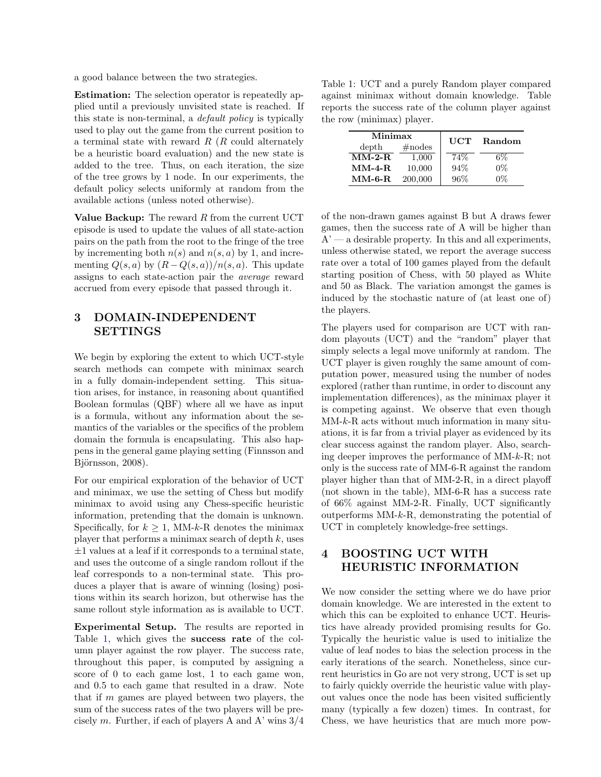a good balance between the two strategies.

Estimation: The selection operator is repeatedly applied until a previously unvisited state is reached. If this state is non-terminal, a default policy is typically used to play out the game from the current position to a terminal state with reward  $R(R)$  could alternately be a heuristic board evaluation) and the new state is added to the tree. Thus, on each iteration, the size of the tree grows by 1 node. In our experiments, the default policy selects uniformly at random from the available actions (unless noted otherwise).

Value Backup: The reward  $R$  from the current UCT episode is used to update the values of all state-action pairs on the path from the root to the fringe of the tree by incrementing both  $n(s)$  and  $n(s, a)$  by 1, and incrementing  $Q(s, a)$  by  $(R - Q(s, a))/n(s, a)$ . This update assigns to each state-action pair the average reward accrued from every episode that passed through it.

# <span id="page-2-0"></span>3 DOMAIN-INDEPENDENT SETTINGS

We begin by exploring the extent to which UCT-style search methods can compete with minimax search in a fully domain-independent setting. This situation arises, for instance, in reasoning about quantified Boolean formulas (QBF) where all we have as input is a formula, without any information about the semantics of the variables or the specifics of the problem domain the formula is encapsulating. This also happens in the general game playing setting [\(Finnsson and](#page-9-8) Björnsson, [2008\)](#page-9-8).

For our empirical exploration of the behavior of UCT and minimax, we use the setting of Chess but modify minimax to avoid using any Chess-specific heuristic information, pretending that the domain is unknown. Specifically, for  $k \geq 1$ , MM-k-R denotes the minimax player that performs a minimax search of depth  $k$ , uses  $\pm 1$  values at a leaf if it corresponds to a terminal state, and uses the outcome of a single random rollout if the leaf corresponds to a non-terminal state. This produces a player that is aware of winning (losing) positions within its search horizon, but otherwise has the same rollout style information as is available to UCT.

Experimental Setup. The results are reported in Table [1,](#page-2-2) which gives the success rate of the column player against the row player. The success rate, throughout this paper, is computed by assigning a score of 0 to each game lost, 1 to each game won, and 0.5 to each game that resulted in a draw. Note that if  $m$  games are played between two players, the sum of the success rates of the two players will be precisely m. Further, if each of players A and A' wins  $3/4$ 

<span id="page-2-2"></span>Table 1: UCT and a purely Random player compared against minimax without domain knowledge. Table reports the success rate of the column player against the row (minimax) player.

| Minimax<br>$\#nodes$<br>depth |         | <b>UCT</b> | Random |  |
|-------------------------------|---------|------------|--------|--|
| $MM-2-R$                      | 1,000   | 74%        | 6%     |  |
| $MM-4-R$                      | 10,000  | 94%        | $0\%$  |  |
| $MM-6-R$                      | 200,000 | 96%        | 0%     |  |

of the non-drawn games against B but A draws fewer games, then the success rate of A will be higher than  $A'$  — a desirable property. In this and all experiments, unless otherwise stated, we report the average success rate over a total of 100 games played from the default starting position of Chess, with 50 played as White and 50 as Black. The variation amongst the games is induced by the stochastic nature of (at least one of) the players.

The players used for comparison are UCT with random playouts (UCT) and the "random" player that simply selects a legal move uniformly at random. The UCT player is given roughly the same amount of computation power, measured using the number of nodes explored (rather than runtime, in order to discount any implementation differences), as the minimax player it is competing against. We observe that even though  $MM-k-R$  acts without much information in many situations, it is far from a trivial player as evidenced by its clear success against the random player. Also, searching deeper improves the performance of MM-k-R; not only is the success rate of MM-6-R against the random player higher than that of MM-2-R, in a direct playoff (not shown in the table), MM-6-R has a success rate of 66% against MM-2-R. Finally, UCT significantly outperforms MM-k-R, demonstrating the potential of UCT in completely knowledge-free settings.

# <span id="page-2-1"></span>4 BOOSTING UCT WITH HEURISTIC INFORMATION

We now consider the setting where we do have prior domain knowledge. We are interested in the extent to which this can be exploited to enhance UCT. Heuristics have already provided promising results for Go. Typically the heuristic value is used to initialize the value of leaf nodes to bias the selection process in the early iterations of the search. Nonetheless, since current heuristics in Go are not very strong, UCT is set up to fairly quickly override the heuristic value with playout values once the node has been visited sufficiently many (typically a few dozen) times. In contrast, for Chess, we have heuristics that are much more pow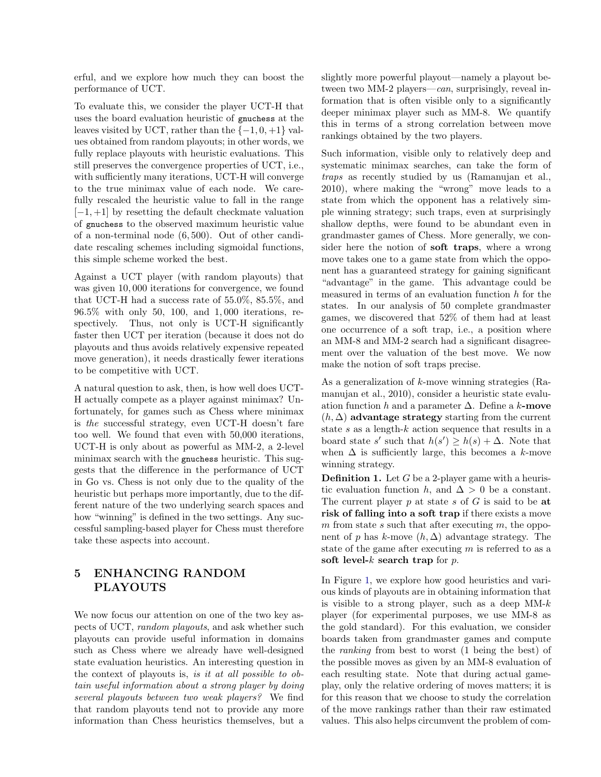erful, and we explore how much they can boost the performance of UCT.

To evaluate this, we consider the player UCT-H that uses the board evaluation heuristic of gnuchess at the leaves visited by UCT, rather than the  $\{-1, 0, +1\}$  values obtained from random playouts; in other words, we fully replace playouts with heuristic evaluations. This still preserves the convergence properties of UCT, i.e., with sufficiently many iterations, UCT-H will converge to the true minimax value of each node. We carefully rescaled the heuristic value to fall in the range  $[-1, +1]$  by resetting the default checkmate valuation of gnuchess to the observed maximum heuristic value of a non-terminal node (6, 500). Out of other candidate rescaling schemes including sigmoidal functions, this simple scheme worked the best.

Against a UCT player (with random playouts) that was given 10, 000 iterations for convergence, we found that UCT-H had a success rate of 55.0%, 85.5%, and 96.5% with only 50, 100, and 1, 000 iterations, respectively. Thus, not only is UCT-H significantly faster then UCT per iteration (because it does not do playouts and thus avoids relatively expensive repeated move generation), it needs drastically fewer iterations to be competitive with UCT.

A natural question to ask, then, is how well does UCT-H actually compete as a player against minimax? Unfortunately, for games such as Chess where minimax is the successful strategy, even UCT-H doesn't fare too well. We found that even with 50,000 iterations, UCT-H is only about as powerful as MM-2, a 2-level minimax search with the gnuchess heuristic. This suggests that the difference in the performance of UCT in Go vs. Chess is not only due to the quality of the heuristic but perhaps more importantly, due to the different nature of the two underlying search spaces and how "winning" is defined in the two settings. Any successful sampling-based player for Chess must therefore take these aspects into account.

## 5 ENHANCING RANDOM PLAYOUTS

We now focus our attention on one of the two key aspects of UCT, random playouts, and ask whether such playouts can provide useful information in domains such as Chess where we already have well-designed state evaluation heuristics. An interesting question in the context of playouts is, is it at all possible to obtain useful information about a strong player by doing several playouts between two weak players? We find that random playouts tend not to provide any more information than Chess heuristics themselves, but a slightly more powerful playout—namely a playout between two MM-2 players—can, surprisingly, reveal information that is often visible only to a significantly deeper minimax player such as MM-8. We quantify this in terms of a strong correlation between move rankings obtained by the two players.

Such information, visible only to relatively deep and systematic minimax searches, can take the form of traps as recently studied by us [\(Ramanujan et al.,](#page-9-9) [2010\)](#page-9-9), where making the "wrong" move leads to a state from which the opponent has a relatively simple winning strategy; such traps, even at surprisingly shallow depths, were found to be abundant even in grandmaster games of Chess. More generally, we consider here the notion of soft traps, where a wrong move takes one to a game state from which the opponent has a guaranteed strategy for gaining significant "advantage" in the game. This advantage could be measured in terms of an evaluation function h for the states. In our analysis of 50 complete grandmaster games, we discovered that 52% of them had at least one occurrence of a soft trap, i.e., a position where an MM-8 and MM-2 search had a significant disagreement over the valuation of the best move. We now make the notion of soft traps precise.

As a generalization of k-move winning strategies [\(Ra](#page-9-9)[manujan et al.,](#page-9-9) [2010\)](#page-9-9), consider a heuristic state evaluation function h and a parameter  $\Delta$ . Define a k-move  $(h, \Delta)$  advantage strategy starting from the current state s as a length-k action sequence that results in a board state s' such that  $h(s') \geq h(s) + \Delta$ . Note that when  $\Delta$  is sufficiently large, this becomes a k-move winning strategy.

**Definition 1.** Let  $G$  be a 2-player game with a heuristic evaluation function h, and  $\Delta > 0$  be a constant. The current player  $p$  at state  $s$  of  $G$  is said to be at risk of falling into a soft trap if there exists a move m from state s such that after executing m, the opponent of p has k-move  $(h, \Delta)$  advantage strategy. The state of the game after executing  $m$  is referred to as a soft level- $k$  search trap for  $p$ .

In Figure [1,](#page-4-0) we explore how good heuristics and various kinds of playouts are in obtaining information that is visible to a strong player, such as a deep  $MM-k$ player (for experimental purposes, we use MM-8 as the gold standard). For this evaluation, we consider boards taken from grandmaster games and compute the ranking from best to worst (1 being the best) of the possible moves as given by an MM-8 evaluation of each resulting state. Note that during actual gameplay, only the relative ordering of moves matters; it is for this reason that we choose to study the correlation of the move rankings rather than their raw estimated values. This also helps circumvent the problem of com-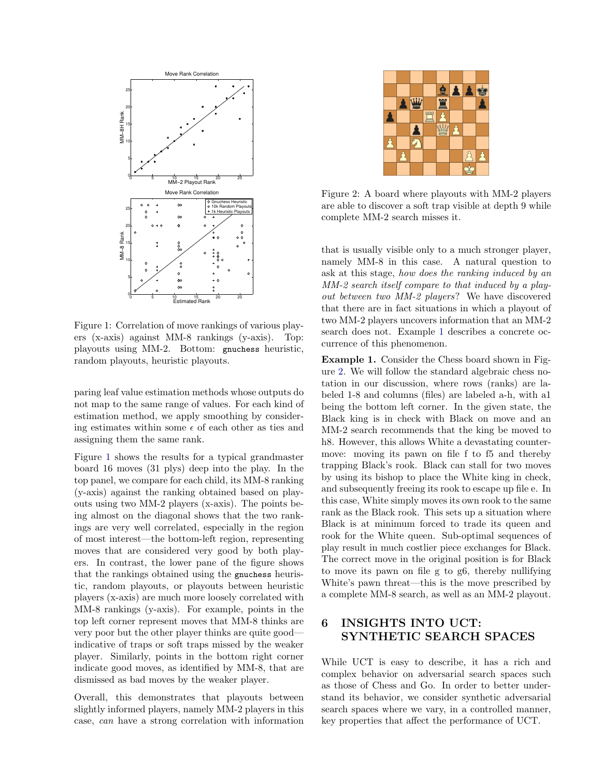

<span id="page-4-0"></span>Figure 1: Correlation of move rankings of various players (x-axis) against MM-8 rankings (y-axis). Top: playouts using MM-2. Bottom: gnuchess heuristic, random playouts, heuristic playouts.

paring leaf value estimation methods whose outputs do not map to the same range of values. For each kind of estimation method, we apply smoothing by considering estimates within some  $\epsilon$  of each other as ties and assigning them the same rank.

Figure [1](#page-4-0) shows the results for a typical grandmaster board 16 moves (31 plys) deep into the play. In the top panel, we compare for each child, its MM-8 ranking (y-axis) against the ranking obtained based on playouts using two MM-2 players (x-axis). The points being almost on the diagonal shows that the two rankings are very well correlated, especially in the region of most interest—the bottom-left region, representing moves that are considered very good by both players. In contrast, the lower pane of the figure shows that the rankings obtained using the gnuchess heuristic, random playouts, or playouts between heuristic players (x-axis) are much more loosely correlated with MM-8 rankings (y-axis). For example, points in the top left corner represent moves that MM-8 thinks are very poor but the other player thinks are quite good indicative of traps or soft traps missed by the weaker player. Similarly, points in the bottom right corner indicate good moves, as identified by MM-8, that are dismissed as bad moves by the weaker player.

Overall, this demonstrates that playouts between slightly informed players, namely MM-2 players in this case, can have a strong correlation with information



Figure 2: A board where playouts with MM-2 players are able to discover a soft trap visible at depth 9 while complete MM-2 search misses it.

<span id="page-4-2"></span>that is usually visible only to a much stronger player, namely MM-8 in this case. A natural question to ask at this stage, how does the ranking induced by an MM-2 search itself compare to that induced by a playout between two MM-2 players? We have discovered that there are in fact situations in which a playout of two MM-2 players uncovers information that an MM-2 search does not. Example [1](#page-4-1) describes a concrete occurrence of this phenomenon.

<span id="page-4-1"></span>Example 1. Consider the Chess board shown in Figure [2.](#page-4-2) We will follow the standard algebraic chess notation in our discussion, where rows (ranks) are labeled 1-8 and columns (files) are labeled a-h, with a1 being the bottom left corner. In the given state, the Black king is in check with Black on move and an MM-2 search recommends that the king be moved to h8. However, this allows White a devastating countermove: moving its pawn on file f to f5 and thereby trapping Black's rook. Black can stall for two moves by using its bishop to place the White king in check, and subsequently freeing its rook to escape up file e. In this case, White simply moves its own rook to the same rank as the Black rook. This sets up a situation where Black is at minimum forced to trade its queen and rook for the White queen. Sub-optimal sequences of play result in much costlier piece exchanges for Black. The correct move in the original position is for Black to move its pawn on file g to g6, thereby nullifying White's pawn threat—this is the move prescribed by a complete MM-8 search, as well as an MM-2 playout.

# 6 INSIGHTS INTO UCT: SYNTHETIC SEARCH SPACES

While UCT is easy to describe, it has a rich and complex behavior on adversarial search spaces such as those of Chess and Go. In order to better understand its behavior, we consider synthetic adversarial search spaces where we vary, in a controlled manner, key properties that affect the performance of UCT.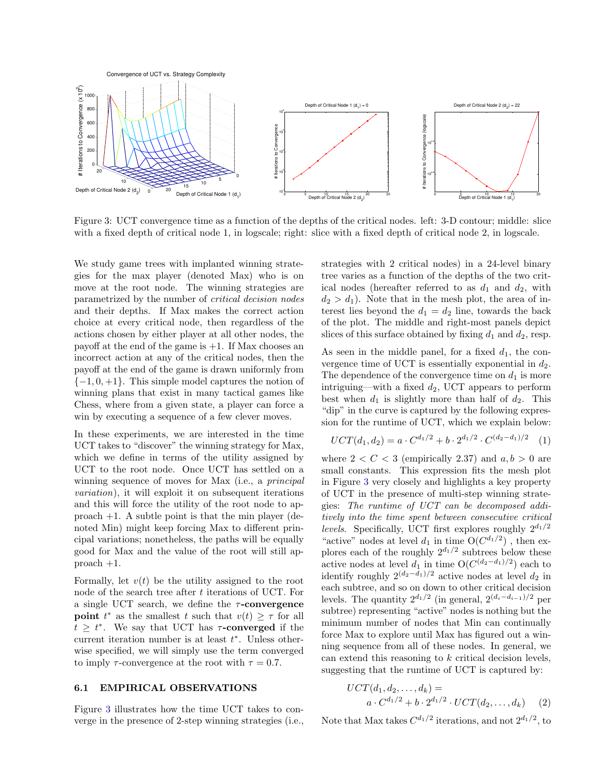

<span id="page-5-0"></span>Figure 3: UCT convergence time as a function of the depths of the critical nodes. left: 3-D contour; middle: slice with a fixed depth of critical node 1, in logscale; right: slice with a fixed depth of critical node 2, in logscale.

We study game trees with implanted winning strategies for the max player (denoted Max) who is on move at the root node. The winning strategies are parametrized by the number of critical decision nodes and their depths. If Max makes the correct action choice at every critical node, then regardless of the actions chosen by either player at all other nodes, the payoff at the end of the game is  $+1$ . If Max chooses an incorrect action at any of the critical nodes, then the payoff at the end of the game is drawn uniformly from  $\{-1, 0, +1\}$ . This simple model captures the notion of winning plans that exist in many tactical games like Chess, where from a given state, a player can force a win by executing a sequence of a few clever moves.

In these experiments, we are interested in the time UCT takes to "discover" the winning strategy for Max, which we define in terms of the utility assigned by UCT to the root node. Once UCT has settled on a winning sequence of moves for Max (i.e., a *principal* variation), it will exploit it on subsequent iterations and this will force the utility of the root node to approach +1. A subtle point is that the min player (denoted Min) might keep forcing Max to different principal variations; nonetheless, the paths will be equally good for Max and the value of the root will still approach +1.

Formally, let  $v(t)$  be the utility assigned to the root node of the search tree after  $t$  iterations of UCT. For a single UCT search, we define the  $\tau$ -convergence **point**  $t^*$  as the smallest t such that  $v(t) \geq \tau$  for all  $t \geq t^*$ . We say that UCT has  $\tau$ -converged if the current iteration number is at least  $t^*$ . Unless otherwise specified, we will simply use the term converged to imply  $\tau$ -convergence at the root with  $\tau = 0.7$ .

#### <span id="page-5-1"></span>6.1 EMPIRICAL OBSERVATIONS

Figure [3](#page-5-0) illustrates how the time UCT takes to converge in the presence of 2-step winning strategies (i.e., strategies with 2 critical nodes) in a 24-level binary tree varies as a function of the depths of the two critical nodes (hereafter referred to as  $d_1$  and  $d_2$ , with  $d_2 > d_1$ ). Note that in the mesh plot, the area of interest lies beyond the  $d_1 = d_2$  line, towards the back of the plot. The middle and right-most panels depict slices of this surface obtained by fixing  $d_1$  and  $d_2$ , resp.

As seen in the middle panel, for a fixed  $d_1$ , the convergence time of UCT is essentially exponential in  $d_2$ . The dependence of the convergence time on  $d_1$  is more intriguing—with a fixed  $d_2$ , UCT appears to perform best when  $d_1$  is slightly more than half of  $d_2$ . This "dip" in the curve is captured by the following expression for the runtime of UCT, which we explain below:

$$
UCT(d_1, d_2) = a \cdot C^{d_1/2} + b \cdot 2^{d_1/2} \cdot C^{(d_2 - d_1)/2} \tag{1}
$$

where  $2 < C < 3$  (empirically 2.37) and  $a, b > 0$  are small constants. This expression fits the mesh plot in Figure [3](#page-5-0) very closely and highlights a key property of UCT in the presence of multi-step winning strategies: The runtime of UCT can be decomposed additively into the time spent between consecutive critical *levels.* Specifically, UCT first explores roughly  $2^{d_1/2}$ "active" nodes at level  $d_1$  in time  $O(C^{d_1/2})$ , then explores each of the roughly  $2^{d_1/2}$  subtrees below these active nodes at level  $d_1$  in time  $O(C^{(d_2-d_1)/2})$  each to identify roughly  $2^{(d_2-d_1)/2}$  active nodes at level  $d_2$  in each subtree, and so on down to other critical decision levels. The quantity  $2^{d_1/2}$  (in general,  $2^{(d_i-d_{i-1})/2}$  per subtree) representing "active" nodes is nothing but the minimum number of nodes that Min can continually force Max to explore until Max has figured out a winning sequence from all of these nodes. In general, we can extend this reasoning to  $k$  critical decision levels, suggesting that the runtime of UCT is captured by:

$$
UCT(d_1, d_2,..., d_k) =
$$
  
\n
$$
a \cdot C^{d_1/2} + b \cdot 2^{d_1/2} \cdot UCT(d_2,..., d_k)
$$
 (2)

Note that Max takes  $C^{d_1/2}$  iterations, and not  $2^{d_1/2}$ , to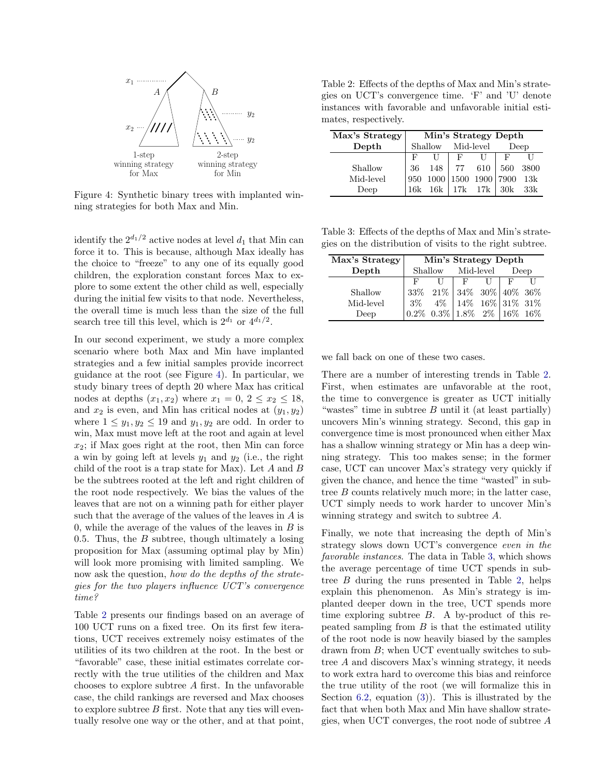

<span id="page-6-0"></span>Figure 4: Synthetic binary trees with implanted winning strategies for both Max and Min.

identify the  $2^{d_1/2}$  active nodes at level  $d_1$  that Min can force it to. This is because, although Max ideally has the choice to "freeze" to any one of its equally good children, the exploration constant forces Max to explore to some extent the other child as well, especially during the initial few visits to that node. Nevertheless, the overall time is much less than the size of the full search tree till this level, which is  $2^{d_1}$  or  $4^{d_1/2}$ .

In our second experiment, we study a more complex scenario where both Max and Min have implanted strategies and a few initial samples provide incorrect guidance at the root (see Figure [4\)](#page-6-0). In particular, we study binary trees of depth 20 where Max has critical nodes at depths  $(x_1, x_2)$  where  $x_1 = 0, 2 \le x_2 \le 18$ , and  $x_2$  is even, and Min has critical nodes at  $(y_1, y_2)$ where  $1 \leq y_1, y_2 \leq 19$  and  $y_1, y_2$  are odd. In order to win, Max must move left at the root and again at level  $x_2$ ; if Max goes right at the root, then Min can force a win by going left at levels  $y_1$  and  $y_2$  (i.e., the right child of the root is a trap state for Max). Let  $A$  and  $B$ be the subtrees rooted at the left and right children of the root node respectively. We bias the values of the leaves that are not on a winning path for either player such that the average of the values of the leaves in A is 0, while the average of the values of the leaves in  $B$  is 0.5. Thus, the  $B$  subtree, though ultimately a losing proposition for Max (assuming optimal play by Min) will look more promising with limited sampling. We now ask the question, how do the depths of the strategies for the two players influence UCT's convergence time?

Table [2](#page-6-1) presents our findings based on an average of 100 UCT runs on a fixed tree. On its first few iterations, UCT receives extremely noisy estimates of the utilities of its two children at the root. In the best or "favorable" case, these initial estimates correlate correctly with the true utilities of the children and Max chooses to explore subtree A first. In the unfavorable case, the child rankings are reversed and Max chooses to explore subtree B first. Note that any ties will eventually resolve one way or the other, and at that point,

<span id="page-6-1"></span>Table 2: Effects of the depths of Max and Min's strategies on UCT's convergence time. 'F' and 'U' denote instances with favorable and unfavorable initial estimates, respectively.

| Max's Strategy | Min's Strategy Depth |      |           |         |      |      |  |  |  |
|----------------|----------------------|------|-----------|---------|------|------|--|--|--|
| Depth          | Shallow              |      | Mid-level |         | Deep |      |  |  |  |
|                | F                    |      | F         |         | F    |      |  |  |  |
| Shallow        | 36                   | 148  | 77        | 610     | 560  | 3800 |  |  |  |
| Mid-level      | 950                  | 1000 | 1500      | 1900    | 7900 | 13k  |  |  |  |
| Deep           | 16k                  | 16k  |           | 17k 17k | 30k  | 33k  |  |  |  |

<span id="page-6-2"></span>Table 3: Effects of the depths of Max and Min's strategies on the distribution of visits to the right subtree.

| Max's Strategy | Min's Strategy Depth |         |                                                                                                                   |       |      |      |  |
|----------------|----------------------|---------|-------------------------------------------------------------------------------------------------------------------|-------|------|------|--|
| Depth          | Shallow              |         | Mid-level                                                                                                         |       | Deep |      |  |
|                | F                    |         | $_{\rm F}$                                                                                                        |       |      |      |  |
| Shallow        | 33\%                 | $21\%$  | $\begin{array}{ l c c c }\n\hline\n34\% & 30\% & 40\% & 36\% \\ 14\% & 16\% & 31\% & 31\% \\ \hline\n\end{array}$ |       |      |      |  |
| Mid-level      | $3\%$                | 4%      |                                                                                                                   |       |      |      |  |
| Deep           | $0.2\%$              | $0.3\%$ | $1.8\%$                                                                                                           | $2\%$ | 16%  | 16\% |  |

we fall back on one of these two cases.

There are a number of interesting trends in Table [2.](#page-6-1) First, when estimates are unfavorable at the root, the time to convergence is greater as UCT initially "wastes" time in subtree  $B$  until it (at least partially) uncovers Min's winning strategy. Second, this gap in convergence time is most pronounced when either Max has a shallow winning strategy or Min has a deep winning strategy. This too makes sense; in the former case, UCT can uncover Max's strategy very quickly if given the chance, and hence the time "wasted" in subtree B counts relatively much more; in the latter case, UCT simply needs to work harder to uncover Min's winning strategy and switch to subtree A.

Finally, we note that increasing the depth of Min's strategy slows down UCT's convergence even in the favorable instances. The data in Table [3,](#page-6-2) which shows the average percentage of time UCT spends in subtree B during the runs presented in Table [2,](#page-6-1) helps explain this phenomenon. As Min's strategy is implanted deeper down in the tree, UCT spends more time exploring subtree  $B$ . A by-product of this repeated sampling from  $B$  is that the estimated utility of the root node is now heavily biased by the samples drawn from B; when UCT eventually switches to subtree A and discovers Max's winning strategy, it needs to work extra hard to overcome this bias and reinforce the true utility of the root (we will formalize this in Section [6.2,](#page-7-0) equation [\(3\)](#page-8-0)). This is illustrated by the fact that when both Max and Min have shallow strategies, when UCT converges, the root node of subtree A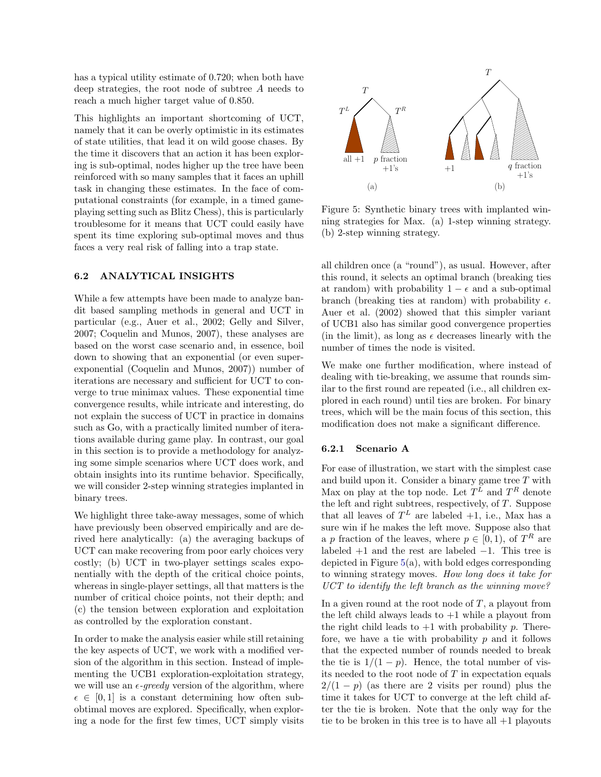has a typical utility estimate of 0.720; when both have deep strategies, the root node of subtree A needs to reach a much higher target value of 0.850.

This highlights an important shortcoming of UCT, namely that it can be overly optimistic in its estimates of state utilities, that lead it on wild goose chases. By the time it discovers that an action it has been exploring is sub-optimal, nodes higher up the tree have been reinforced with so many samples that it faces an uphill task in changing these estimates. In the face of computational constraints (for example, in a timed gameplaying setting such as Blitz Chess), this is particularly troublesome for it means that UCT could easily have spent its time exploring sub-optimal moves and thus faces a very real risk of falling into a trap state.

### <span id="page-7-0"></span>6.2 ANALYTICAL INSIGHTS

While a few attempts have been made to analyze bandit based sampling methods in general and UCT in particular (e.g., [Auer et al.,](#page-9-3) [2002;](#page-9-3) [Gelly and Silver,](#page-9-0) [2007;](#page-9-0) [Coquelin and Munos,](#page-9-4) [2007\)](#page-9-4), these analyses are based on the worst case scenario and, in essence, boil down to showing that an exponential (or even superexponential [\(Coquelin and Munos,](#page-9-4) [2007\)](#page-9-4)) number of iterations are necessary and sufficient for UCT to converge to true minimax values. These exponential time convergence results, while intricate and interesting, do not explain the success of UCT in practice in domains such as Go, with a practically limited number of iterations available during game play. In contrast, our goal in this section is to provide a methodology for analyzing some simple scenarios where UCT does work, and obtain insights into its runtime behavior. Specifically, we will consider 2-step winning strategies implanted in binary trees.

We highlight three take-away messages, some of which have previously been observed empirically and are derived here analytically: (a) the averaging backups of UCT can make recovering from poor early choices very costly; (b) UCT in two-player settings scales exponentially with the depth of the critical choice points, whereas in single-player settings, all that matters is the number of critical choice points, not their depth; and (c) the tension between exploration and exploitation as controlled by the exploration constant.

In order to make the analysis easier while still retaining the key aspects of UCT, we work with a modified version of the algorithm in this section. Instead of implementing the UCB1 exploration-exploitation strategy, we will use an  $\epsilon$ -greedy version of the algorithm, where  $\epsilon \in [0, 1]$  is a constant determining how often subobtimal moves are explored. Specifically, when exploring a node for the first few times, UCT simply visits



<span id="page-7-1"></span>Figure 5: Synthetic binary trees with implanted winning strategies for Max. (a) 1-step winning strategy. (b) 2-step winning strategy.

all children once (a "round"), as usual. However, after this round, it selects an optimal branch (breaking ties at random) with probability  $1 - \epsilon$  and a sub-optimal branch (breaking ties at random) with probability  $\epsilon$ . [Auer et al.](#page-9-3) [\(2002\)](#page-9-3) showed that this simpler variant of UCB1 also has similar good convergence properties (in the limit), as long as  $\epsilon$  decreases linearly with the number of times the node is visited.

We make one further modification, where instead of dealing with tie-breaking, we assume that rounds similar to the first round are repeated (i.e., all children explored in each round) until ties are broken. For binary trees, which will be the main focus of this section, this modification does not make a significant difference.

### 6.2.1 Scenario A

For ease of illustration, we start with the simplest case and build upon it. Consider a binary game tree  $T$  with Max on play at the top node. Let  $T^L$  and  $T^R$  denote the left and right subtrees, respectively, of  $T$ . Suppose that all leaves of  $T^L$  are labeled  $+1$ , i.e., Max has a sure win if he makes the left move. Suppose also that a p fraction of the leaves, where  $p \in [0,1)$ , of  $T<sup>R</sup>$  are labeled  $+1$  and the rest are labeled  $-1$ . This tree is depicted in Figure [5\(](#page-7-1)a), with bold edges corresponding to winning strategy moves. How long does it take for UCT to identify the left branch as the winning move?

In a given round at the root node of  $T$ , a playout from the left child always leads to  $+1$  while a playout from the right child leads to  $+1$  with probability p. Therefore, we have a tie with probability  $p$  and it follows that the expected number of rounds needed to break the tie is  $1/(1 - p)$ . Hence, the total number of visits needed to the root node of  $T$  in expectation equals  $2/(1-p)$  (as there are 2 visits per round) plus the time it takes for UCT to converge at the left child after the tie is broken. Note that the only way for the tie to be broken in this tree is to have all  $+1$  playouts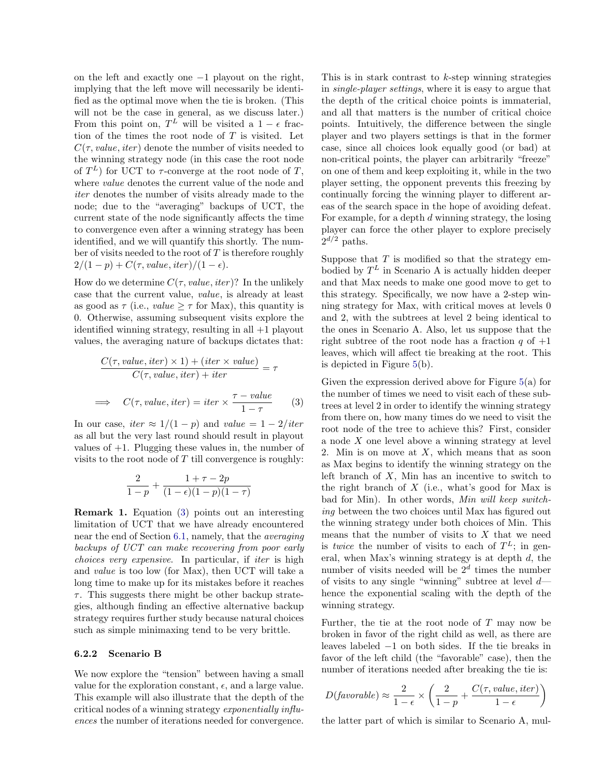on the left and exactly one −1 playout on the right, implying that the left move will necessarily be identified as the optimal move when the tie is broken. (This will not be the case in general, as we discuss later.) From this point on,  $T^L$  will be visited a  $1 - \epsilon$  fraction of the times the root node of  $T$  is visited. Let  $C(\tau, value, iter)$  denote the number of visits needed to the winning strategy node (in this case the root node of  $T^L$ ) for UCT to  $\tau$ -converge at the root node of T, where value denotes the current value of the node and iter denotes the number of visits already made to the node; due to the "averaging" backups of UCT, the current state of the node significantly affects the time to convergence even after a winning strategy has been identified, and we will quantify this shortly. The number of visits needed to the root of  $T$  is therefore roughly  $2/(1-p) + C(\tau, value, iter)/(1-\epsilon).$ 

How do we determine  $C(\tau, value, iter)$ ? In the unlikely case that the current value, value, is already at least as good as  $\tau$  (i.e., *value*  $\geq \tau$  for Max), this quantity is 0. Otherwise, assuming subsequent visits explore the identified winning strategy, resulting in all +1 playout values, the averaging nature of backups dictates that:

$$
\frac{C(\tau, value, iter) \times 1) + (iter \times value)}{C(\tau, value, iter) + iter} = \tau
$$
  

$$
\implies C(\tau, value, iter) = iter \times \frac{\tau - value}{1 - \tau}
$$
 (3)

<span id="page-8-0"></span>In our case, iter  $\approx 1/(1-p)$  and value  $= 1 - 2/iter$ as all but the very last round should result in playout values of  $+1$ . Plugging these values in, the number of visits to the root node of  $T$  till convergence is roughly:

$$
\frac{2}{1-p} + \frac{1+\tau-2p}{(1-\epsilon)(1-p)(1-\tau)}
$$

Remark 1. Equation [\(3\)](#page-8-0) points out an interesting limitation of UCT that we have already encountered near the end of Section [6.1,](#page-5-1) namely, that the averaging backups of UCT can make recovering from poor early choices very expensive. In particular, if iter is high and value is too low (for Max), then UCT will take a long time to make up for its mistakes before it reaches  $\tau$ . This suggests there might be other backup strategies, although finding an effective alternative backup strategy requires further study because natural choices such as simple minimaxing tend to be very brittle.

### 6.2.2 Scenario B

We now explore the "tension" between having a small value for the exploration constant,  $\epsilon$ , and a large value. This example will also illustrate that the depth of the critical nodes of a winning strategy exponentially influences the number of iterations needed for convergence.

This is in stark contrast to  $k$ -step winning strategies in single-player settings, where it is easy to argue that the depth of the critical choice points is immaterial, and all that matters is the number of critical choice points. Intuitively, the difference between the single player and two players settings is that in the former case, since all choices look equally good (or bad) at non-critical points, the player can arbitrarily "freeze" on one of them and keep exploiting it, while in the two player setting, the opponent prevents this freezing by continually forcing the winning player to different areas of the search space in the hope of avoiding defeat. For example, for a depth d winning strategy, the losing player can force the other player to explore precisely  $2^{d/2}$  paths.

Suppose that  $T$  is modified so that the strategy embodied by  $T^L$  in Scenario A is actually hidden deeper and that Max needs to make one good move to get to this strategy. Specifically, we now have a 2-step winning strategy for Max, with critical moves at levels 0 and 2, with the subtrees at level 2 being identical to the ones in Scenario A. Also, let us suppose that the right subtree of the root node has a fraction q of  $+1$ leaves, which will affect tie breaking at the root. This is depicted in Figure [5\(](#page-7-1)b).

Given the expression derived above for Figure [5\(](#page-7-1)a) for the number of times we need to visit each of these subtrees at level 2 in order to identify the winning strategy from there on, how many times do we need to visit the root node of the tree to achieve this? First, consider a node  $X$  one level above a winning strategy at level 2. Min is on move at  $X$ , which means that as soon as Max begins to identify the winning strategy on the left branch of  $X$ , Min has an incentive to switch to the right branch of  $X$  (i.e., what's good for Max is bad for Min). In other words, Min will keep switching between the two choices until Max has figured out the winning strategy under both choices of Min. This means that the number of visits to  $X$  that we need is *twice* the number of visits to each of  $T<sup>L</sup>$ ; in general, when Max's winning strategy is at depth  $d$ , the number of visits needed will be  $2^d$  times the number of visits to any single "winning" subtree at level  $d$ hence the exponential scaling with the depth of the winning strategy.

Further, the tie at the root node of  $T$  may now be broken in favor of the right child as well, as there are leaves labeled −1 on both sides. If the tie breaks in favor of the left child (the "favorable" case), then the number of iterations needed after breaking the tie is:

$$
D(favorable) \approx \frac{2}{1-\epsilon} \times \left(\frac{2}{1-p} + \frac{C(\tau, value, iter)}{1-\epsilon}\right)
$$

the latter part of which is similar to Scenario A, mul-